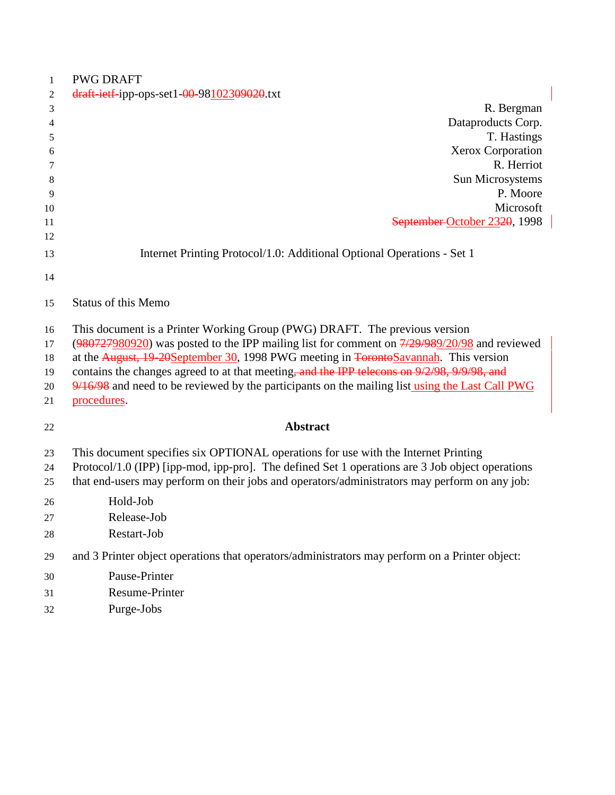| $\mathbf{1}$ | <b>PWG DRAFT</b>                                                                                 |  |
|--------------|--------------------------------------------------------------------------------------------------|--|
| 2            | draft-ietf-ipp-ops-set1-00-98102309020.txt                                                       |  |
| 3            | R. Bergman                                                                                       |  |
| 4            | Dataproducts Corp.                                                                               |  |
| 5            | T. Hastings                                                                                      |  |
| 6            | Xerox Corporation                                                                                |  |
| 7            | R. Herriot                                                                                       |  |
| 8            | Sun Microsystems                                                                                 |  |
| 9            | P. Moore                                                                                         |  |
| 10           | Microsoft                                                                                        |  |
| 11<br>12     | September October 2320, 1998                                                                     |  |
|              |                                                                                                  |  |
| 13           | Internet Printing Protocol/1.0: Additional Optional Operations - Set 1                           |  |
| 14           |                                                                                                  |  |
| 15           | <b>Status of this Memo</b>                                                                       |  |
| 16           | This document is a Printer Working Group (PWG) DRAFT. The previous version                       |  |
| 17           | $(980727980920)$ was posted to the IPP mailing list for comment on $7/29/989/20/98$ and reviewed |  |
| 18           | at the August, 19-20September 30, 1998 PWG meeting in <del>TorontoSavannah</del> . This version  |  |
| 19           | contains the changes agreed to at that meeting, and the IPP telecons on 9/2/98, 9/9/98, and      |  |
| 20           | 9/16/98 and need to be reviewed by the participants on the mailing list using the Last Call PWG  |  |
| 21           | procedures.                                                                                      |  |
| 22           | <b>Abstract</b>                                                                                  |  |
| 23           | This document specifies six OPTIONAL operations for use with the Internet Printing               |  |
| 24           | Protocol/1.0 (IPP) [ipp-mod, ipp-pro]. The defined Set 1 operations are 3 Job object operations  |  |
| 25           | that end-users may perform on their jobs and operators/administrators may perform on any job:    |  |
| 26           | Hold-Job                                                                                         |  |
| 27           | Release-Job                                                                                      |  |
| 28           | Restart-Job                                                                                      |  |
| 29           | and 3 Printer object operations that operators/administrators may perform on a Printer object:   |  |
| 30           | Pause-Printer                                                                                    |  |
| 31           | <b>Resume-Printer</b>                                                                            |  |
| 32           | Purge-Jobs                                                                                       |  |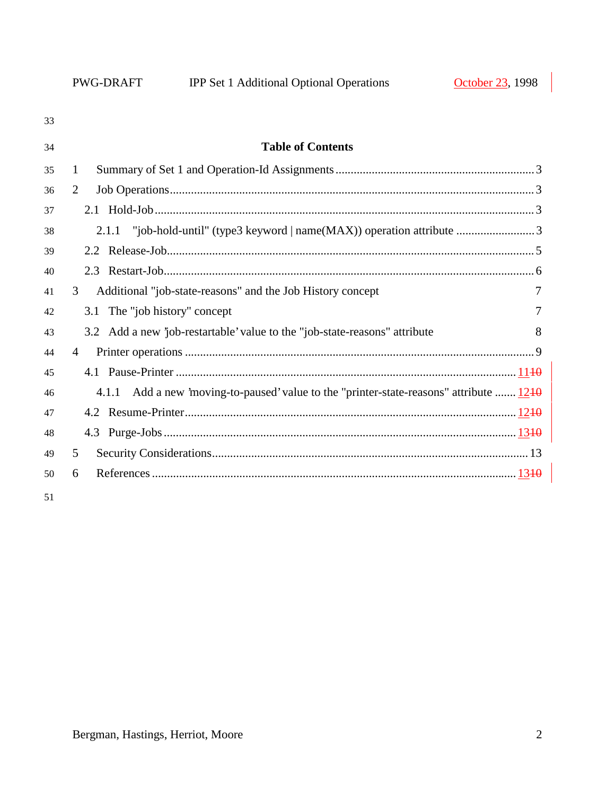| 33 |                                                                                          |   |
|----|------------------------------------------------------------------------------------------|---|
| 34 | <b>Table of Contents</b>                                                                 |   |
| 35 | 1                                                                                        |   |
| 36 | 2                                                                                        |   |
| 37 |                                                                                          |   |
| 38 |                                                                                          |   |
| 39 |                                                                                          |   |
| 40 |                                                                                          |   |
| 41 | Additional "job-state-reasons" and the Job History concept<br>3                          |   |
| 42 | 3.1 The "job history" concept                                                            | 7 |
| 43 | 3.2 Add a new 'job-restartable' value to the "job-state-reasons" attribute               | 8 |
| 44 | $\overline{4}$                                                                           |   |
| 45 |                                                                                          |   |
| 46 | 4.1.1 Add a new 'moving-to-paused' value to the "printer-state-reasons" attribute $1240$ |   |
| 47 |                                                                                          |   |
| 48 |                                                                                          |   |
| 49 | 5                                                                                        |   |
| 50 | 6                                                                                        |   |
|    |                                                                                          |   |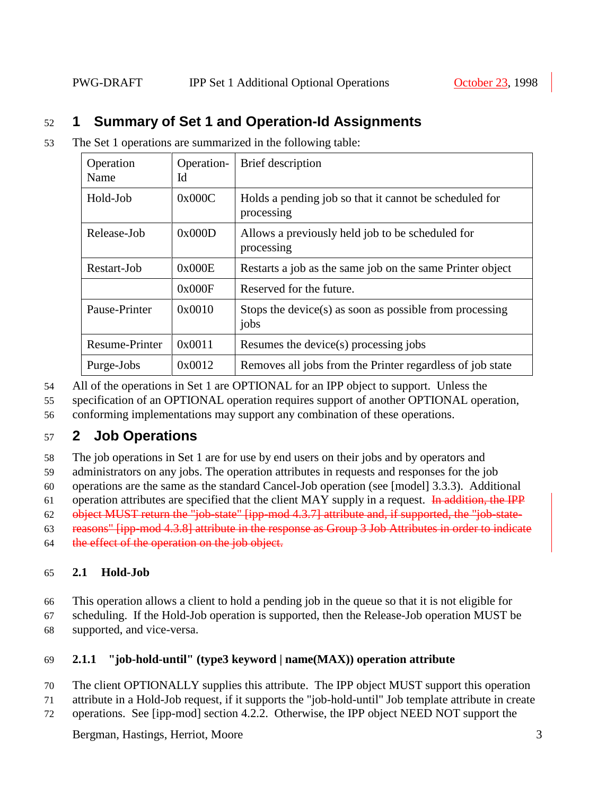## 52 **1 Summary of Set 1 and Operation-Id Assignments**

53 The Set 1 operations are summarized in the following table:

| Operation<br>Name     | Operation-<br>Id | Brief description                                                    |  |
|-----------------------|------------------|----------------------------------------------------------------------|--|
| Hold-Job              | 0x000C           | Holds a pending job so that it cannot be scheduled for<br>processing |  |
| Release-Job           | 0x000D           | Allows a previously held job to be scheduled for<br>processing       |  |
| Restart-Job           | 0x000E           | Restarts a job as the same job on the same Printer object            |  |
|                       | 0x000F           | Reserved for the future.                                             |  |
| Pause-Printer         | 0x0010           | Stops the device(s) as soon as possible from processing<br>jobs      |  |
| <b>Resume-Printer</b> | 0x0011           | Resumes the device(s) processing jobs                                |  |
| Purge-Jobs            | 0x0012           | Removes all jobs from the Printer regardless of job state            |  |

54 All of the operations in Set 1 are OPTIONAL for an IPP object to support. Unless the

55 specification of an OPTIONAL operation requires support of another OPTIONAL operation,

56 conforming implementations may support any combination of these operations.

## 57 **2 Job Operations**

58 The job operations in Set 1 are for use by end users on their jobs and by operators and

59 administrators on any jobs. The operation attributes in requests and responses for the job

60 operations are the same as the standard Cancel-Job operation (see [model] 3.3.3). Additional

61 operation attributes are specified that the client MAY supply in a request. In addition, the IPP

62 object MUST return the "job-state" [ipp-mod 4.3.7] attribute and, if supported, the "job-state-

63 reasons" [ipp-mod 4.3.8] attribute in the response as Group 3 Job Attributes in order to indicate

64 the effect of the operation on the job object.

### 65 **2.1 Hold-Job**

- 66 This operation allows a client to hold a pending job in the queue so that it is not eligible for
- 67 scheduling. If the Hold-Job operation is supported, then the Release-Job operation MUST be 68 supported, and vice-versa.

### 69 **2.1.1 "job-hold-until" (type3 keyword | name(MAX)) operation attribute**

- 70 The client OPTIONALLY supplies this attribute. The IPP object MUST support this operation
- 71 attribute in a Hold-Job request, if it supports the "job-hold-until" Job template attribute in create
- 72 operations. See [ipp-mod] section 4.2.2. Otherwise, the IPP object NEED NOT support the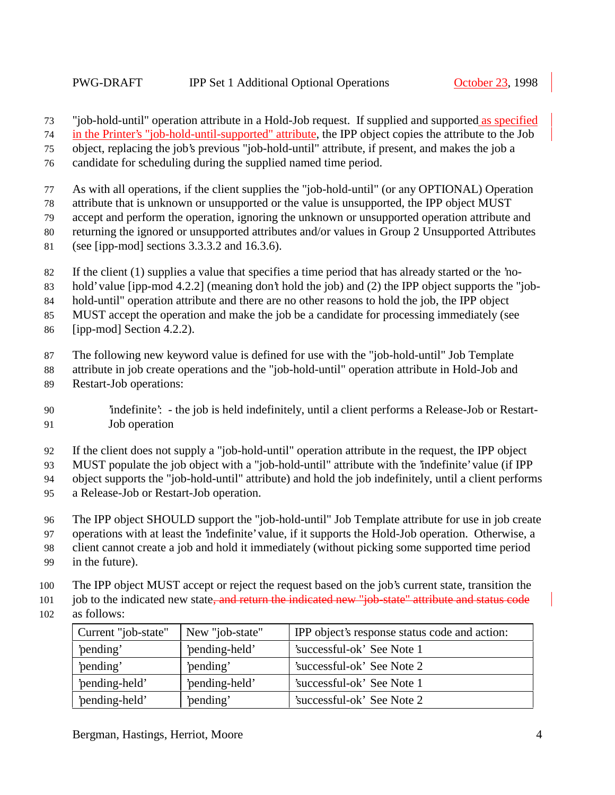73 "job-hold-until" operation attribute in a Hold-Job request. If supplied and supported as specified

in the Printer's "job-hold-until-supported" attribute, the IPP object copies the attribute to the Job

object, replacing the job's previous "job-hold-until" attribute, if present, and makes the job a

candidate for scheduling during the supplied named time period.

As with all operations, if the client supplies the "job-hold-until" (or any OPTIONAL) Operation

attribute that is unknown or unsupported or the value is unsupported, the IPP object MUST

accept and perform the operation, ignoring the unknown or unsupported operation attribute and

returning the ignored or unsupported attributes and/or values in Group 2 Unsupported Attributes

(see [ipp-mod] sections 3.3.3.2 and 16.3.6).

If the client (1) supplies a value that specifies a time period that has already started or the 'no-

hold' value [ipp-mod 4.2.2] (meaning don't hold the job) and (2) the IPP object supports the "job-

hold-until" operation attribute and there are no other reasons to hold the job, the IPP object

MUST accept the operation and make the job be a candidate for processing immediately (see

[ipp-mod] Section 4.2.2).

The following new keyword value is defined for use with the "job-hold-until" Job Template

attribute in job create operations and the "job-hold-until" operation attribute in Hold-Job and

Restart-Job operations:

 'indefinite': - the job is held indefinitely, until a client performs a Release-Job or Restart-Job operation

If the client does not supply a "job-hold-until" operation attribute in the request, the IPP object

MUST populate the job object with a "job-hold-until" attribute with the 'indefinite' value (if IPP

object supports the "job-hold-until" attribute) and hold the job indefinitely, until a client performs

- a Release-Job or Restart-Job operation.
- The IPP object SHOULD support the "job-hold-until" Job Template attribute for use in job create

operations with at least the 'indefinite' value, if it supports the Hold-Job operation. Otherwise, a

client cannot create a job and hold it immediately (without picking some supported time period

- in the future).
- The IPP object MUST accept or reject the request based on the job's current state, transition the
- 101 job to the indicated new state<del>, and return the indicated new "job-state" attribute and status code</del>
- as follows:

| Current "job-state" | New "job-state" | IPP object's response status code and action: |
|---------------------|-----------------|-----------------------------------------------|
| 'pending'           | 'pending-held'  | 'successful-ok' See Note 1                    |
| 'pending'           | 'pending'       | 'successful-ok' See Note 2                    |
| 'pending-held'      | 'pending-held'  | 'successful-ok' See Note 1                    |
| 'pending-held'      | 'pending'       | 'successful-ok' See Note 2                    |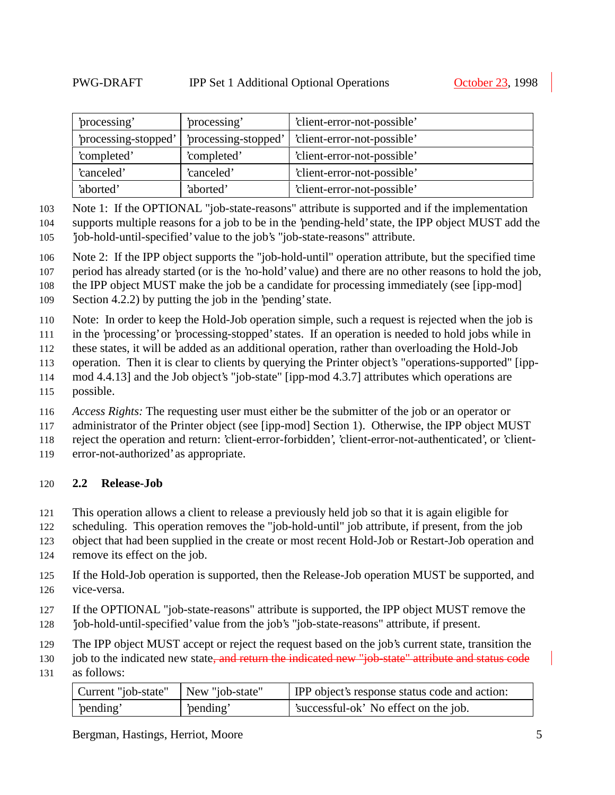| processing           | processing'          | 'client-error-not-possible' |
|----------------------|----------------------|-----------------------------|
| 'processing-stopped' | 'processing-stopped' | 'client-error-not-possible' |
| 'completed'          | 'completed'          | 'client-error-not-possible' |
| 'canceled'           | 'canceled'           | 'client-error-not-possible' |
| 'aborted'            | 'aborted'            | 'client-error-not-possible' |

Note 1: If the OPTIONAL "job-state-reasons" attribute is supported and if the implementation

 supports multiple reasons for a job to be in the 'pending-held' state, the IPP object MUST add the 'job-hold-until-specified' value to the job's "job-state-reasons" attribute.

Note 2: If the IPP object supports the "job-hold-until" operation attribute, but the specified time

period has already started (or is the 'no-hold' value) and there are no other reasons to hold the job,

the IPP object MUST make the job be a candidate for processing immediately (see [ipp-mod]

Section 4.2.2) by putting the job in the 'pending' state.

Note: In order to keep the Hold-Job operation simple, such a request is rejected when the job is

in the 'processing' or 'processing-stopped' states. If an operation is needed to hold jobs while in

these states, it will be added as an additional operation, rather than overloading the Hold-Job

- operation. Then it is clear to clients by querying the Printer object's "operations-supported" [ipp-
- mod 4.4.13] and the Job object's "job-state" [ipp-mod 4.3.7] attributes which operations are
- possible.

*Access Rights:* The requesting user must either be the submitter of the job or an operator or

117 administrator of the Printer object (see [ipp-mod] Section 1). Otherwise, the IPP object MUST

reject the operation and return: 'client-error-forbidden', 'client-error-not-authenticated', or 'client-

error-not-authorized' as appropriate.

### **2.2 Release-Job**

This operation allows a client to release a previously held job so that it is again eligible for

scheduling. This operation removes the "job-hold-until" job attribute, if present, from the job

 object that had been supplied in the create or most recent Hold-Job or Restart-Job operation and remove its effect on the job.

- If the Hold-Job operation is supported, then the Release-Job operation MUST be supported, and vice-versa.
- If the OPTIONAL "job-state-reasons" attribute is supported, the IPP object MUST remove the
- 'job-hold-until-specified' value from the job's "job-state-reasons" attribute, if present.
- The IPP object MUST accept or reject the request based on the job's current state, transition the

130 job to the indicated new state, and return the indicated new "job-state" attribute and status code

as follows:

| Current "job-state"   New "job-state" |          | <b>IPP</b> object's response status code and action: |
|---------------------------------------|----------|------------------------------------------------------|
| pending'                              | pending' | 'successful-ok' No effect on the job.                |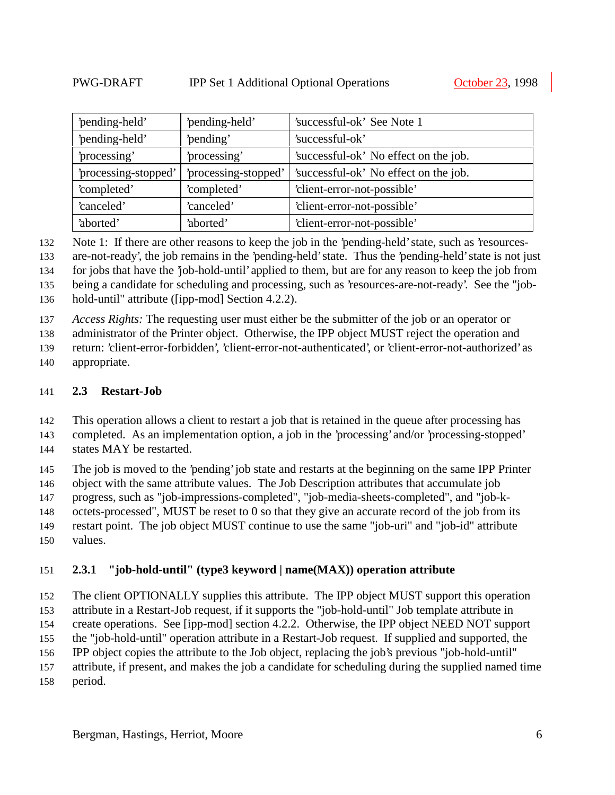| 'pending-held'         | 'pending-held'       | 'successful-ok' See Note 1            |
|------------------------|----------------------|---------------------------------------|
| 'pending-held'         | 'pending'            | 'successful-ok'                       |
| 'processing'           | 'processing'         | 'successful-ok' No effect on the job. |
| 'processing-stopped'   | 'processing-stopped' | 'successful-ok' No effect on the job. |
| 'completed'            | 'completed'          | 'client-error-not-possible'           |
| 'canceled'             | 'canceled'           | 'client-error-not-possible'           |
| 'aborted'<br>'aborted' |                      | 'client-error-not-possible'           |

Note 1: If there are other reasons to keep the job in the 'pending-held' state, such as 'resources-

are-not-ready', the job remains in the 'pending-held' state. Thus the 'pending-held' state is not just

for jobs that have the 'job-hold-until' applied to them, but are for any reason to keep the job from

being a candidate for scheduling and processing, such as 'resources-are-not-ready'. See the "job-

hold-until" attribute ([ipp-mod] Section 4.2.2).

*Access Rights:* The requesting user must either be the submitter of the job or an operator or

administrator of the Printer object. Otherwise, the IPP object MUST reject the operation and

return: 'client-error-forbidden', 'client-error-not-authenticated', or 'client-error-not-authorized' as

appropriate.

#### **2.3 Restart-Job**

This operation allows a client to restart a job that is retained in the queue after processing has

completed. As an implementation option, a job in the 'processing' and/or 'processing-stopped'

states MAY be restarted.

The job is moved to the 'pending' job state and restarts at the beginning on the same IPP Printer

object with the same attribute values. The Job Description attributes that accumulate job

progress, such as "job-impressions-completed", "job-media-sheets-completed", and "job-k-

octets-processed", MUST be reset to 0 so that they give an accurate record of the job from its

 restart point. The job object MUST continue to use the same "job-uri" and "job-id" attribute values.

#### **2.3.1 "job-hold-until" (type3 keyword | name(MAX)) operation attribute**

 The client OPTIONALLY supplies this attribute. The IPP object MUST support this operation attribute in a Restart-Job request, if it supports the "job-hold-until" Job template attribute in

create operations. See [ipp-mod] section 4.2.2. Otherwise, the IPP object NEED NOT support

 the "job-hold-until" operation attribute in a Restart-Job request. If supplied and supported, the IPP object copies the attribute to the Job object, replacing the job's previous "job-hold-until"

attribute, if present, and makes the job a candidate for scheduling during the supplied named time

period.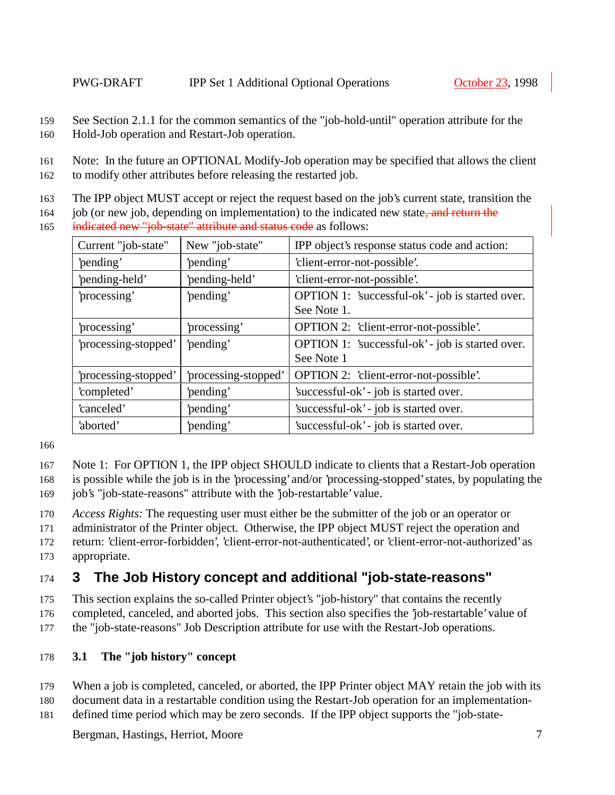159 See Section 2.1.1 for the common semantics of the "job-hold-until" operation attribute for the 160 Hold-Job operation and Restart-Job operation.

- 162 to modify other attributes before releasing the restarted job.
- 163 The IPP object MUST accept or reject the request based on the job's current state, transition the
- 164 job (or new job, depending on implementation) to the indicated new state, and return the 165 indicated new "job-state" attribute and status code as follows:

| Current "job-state"  | New "job-state"      | IPP object's response status code and action:    |
|----------------------|----------------------|--------------------------------------------------|
| 'pending'            | 'pending'            | 'client-error-not-possible'.                     |
| 'pending-held'       | 'pending-held'       | 'client-error-not-possible'.                     |
| 'processing'         | 'pending'            | OPTION 1: 'successful-ok' - job is started over. |
|                      |                      | See Note 1.                                      |
| 'processing'         | 'processing'         | OPTION 2: 'client-error-not-possible'.           |
| 'processing-stopped' | 'pending'            | OPTION 1: 'successful-ok' - job is started over. |
|                      |                      | See Note 1                                       |
| 'processing-stopped' | 'processing-stopped' | OPTION 2: 'client-error-not-possible'.           |
| 'completed'          | 'pending'            | 'successful-ok' - job is started over.           |
| 'canceled'           | 'pending'            | 'successful-ok' - job is started over.           |
| 'aborted'            | 'pending'            | 'successful-ok' - job is started over.           |

166

- 167 Note 1: For OPTION 1, the IPP object SHOULD indicate to clients that a Restart-Job operation
- 168 is possible while the job is in the 'processing' and/or 'processing-stopped' states, by populating the 169 job's "job-state-reasons" attribute with the 'job-restartable' value.
- 170 *Access Rights:* The requesting user must either be the submitter of the job or an operator or
- 171 administrator of the Printer object. Otherwise, the IPP object MUST reject the operation and
- 172 return: 'client-error-forbidden', 'client-error-not-authenticated', or 'client-error-not-authorized' as 173 appropriate.

# 174 **3 The Job History concept and additional "job-state-reasons"**

- 175 This section explains the so-called Printer object's "job-history" that contains the recently
- 176 completed, canceled, and aborted jobs. This section also specifies the 'job-restartable' value of
- 177 the "job-state-reasons" Job Description attribute for use with the Restart-Job operations.

### 178 **3.1 The "job history" concept**

- 179 When a job is completed, canceled, or aborted, the IPP Printer object MAY retain the job with its
- 180 document data in a restartable condition using the Restart-Job operation for an implementation-
- 181 defined time period which may be zero seconds. If the IPP object supports the "job-state-

<sup>161</sup> Note: In the future an OPTIONAL Modify-Job operation may be specified that allows the client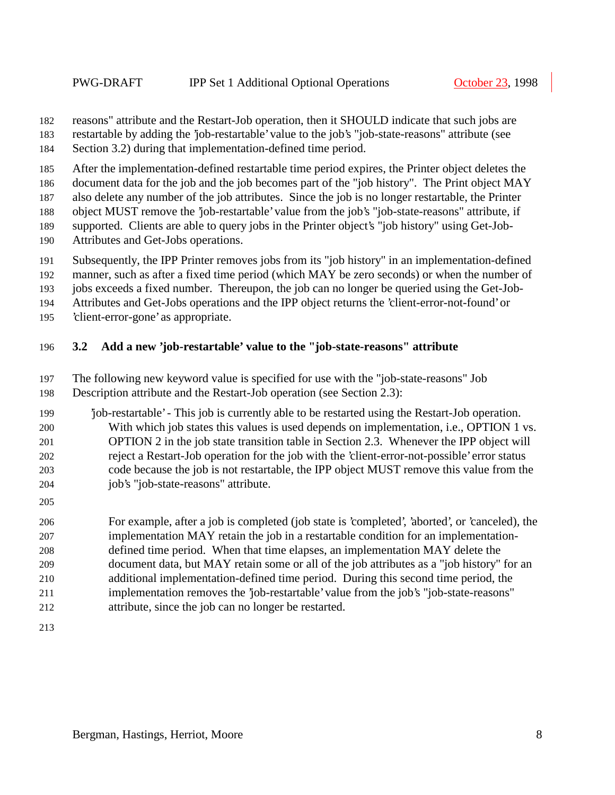reasons" attribute and the Restart-Job operation, then it SHOULD indicate that such jobs are

restartable by adding the 'job-restartable' value to the job's "job-state-reasons" attribute (see

Section 3.2) during that implementation-defined time period.

After the implementation-defined restartable time period expires, the Printer object deletes the

document data for the job and the job becomes part of the "job history". The Print object MAY

also delete any number of the job attributes. Since the job is no longer restartable, the Printer

object MUST remove the 'job-restartable' value from the job's "job-state-reasons" attribute, if

supported. Clients are able to query jobs in the Printer object's "job history" using Get-Job-

Attributes and Get-Jobs operations.

Subsequently, the IPP Printer removes jobs from its "job history" in an implementation-defined

manner, such as after a fixed time period (which MAY be zero seconds) or when the number of

jobs exceeds a fixed number. Thereupon, the job can no longer be queried using the Get-Job-

Attributes and Get-Jobs operations and the IPP object returns the 'client-error-not-found' or

'client-error-gone' as appropriate.

### **3.2 Add a new 'job-restartable' value to the "job-state-reasons" attribute**

The following new keyword value is specified for use with the "job-state-reasons" Job

Description attribute and the Restart-Job operation (see Section 2.3):

 'job-restartable' - This job is currently able to be restarted using the Restart-Job operation. With which job states this values is used depends on implementation, i.e., OPTION 1 vs. OPTION 2 in the job state transition table in Section 2.3. Whenever the IPP object will reject a Restart-Job operation for the job with the 'client-error-not-possible' error status code because the job is not restartable, the IPP object MUST remove this value from the job's "job-state-reasons" attribute.

 For example, after a job is completed (job state is 'completed', 'aborted', or 'canceled), the implementation MAY retain the job in a restartable condition for an implementation- defined time period. When that time elapses, an implementation MAY delete the document data, but MAY retain some or all of the job attributes as a "job history" for an additional implementation-defined time period. During this second time period, the implementation removes the 'job-restartable' value from the job's "job-state-reasons" attribute, since the job can no longer be restarted.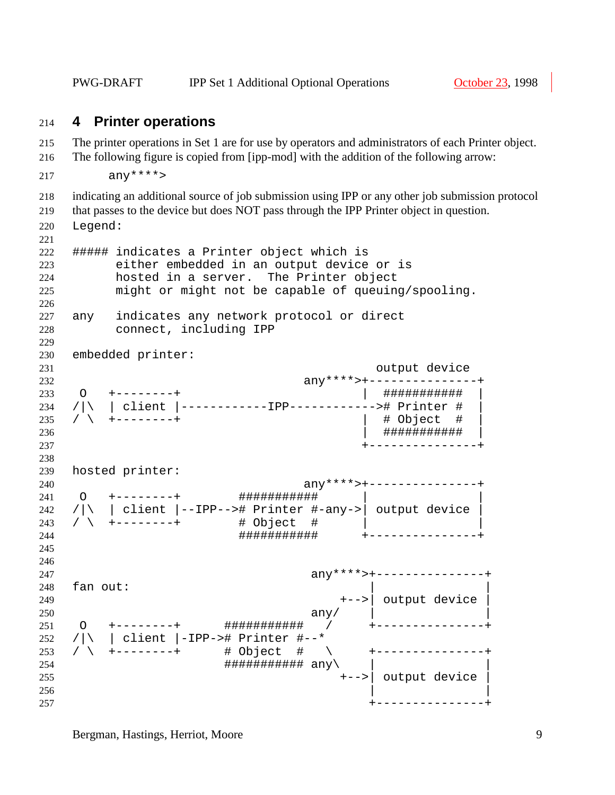PWG-DRAFT IPP Set 1 Additional Optional Operations October 23, 1998

#### **4 Printer operations**

 The printer operations in Set 1 are for use by operators and administrators of each Printer object. The following figure is copied from [ipp-mod] with the addition of the following arrow:

```
217 anx***
```
indicating an additional source of job submission using IPP or any other job submission protocol

that passes to the device but does NOT pass through the IPP Printer object in question.

Legend:

```
221
222 ##### indicates a Printer object which is
223 either embedded in an output device or is
224 hosted in a server. The Printer object
225 might or might not be capable of queuing/spooling.
226
227 any indicates any network protocol or direct
228 connect, including IPP
229
230 embedded printer:
231 output device
232 any****>+---------------+
233 O +--------+ | ########### |
234 /|\ | client |------------IPP------------># Printer # |
235 / \ +--------+ | # Object # |
236 | ########### |
237 +---------------+
238
239 hosted printer:
240 any****>+---------------+
24∪<br>241 O +−−−−−−−+ #############
242 /|\ | client |--IPP--># Printer #-any->| output device |
243 / \ +--------+ # Object # | |
244 ########### +---------------+
245
246
247 any****>+---------------+
248 fan out:
249 +-->| output device |
250 any/<br>251 0 +--------+ ############ /
251 O +--------+ ########### / +---------------+
252 /|\ | client |-IPP-># Printer #--*
253 / \ +--------+ # Object # \ +---------------+
254 ########### any\ | |
255 +-->| output device |
256 | |
257 +---------------+
```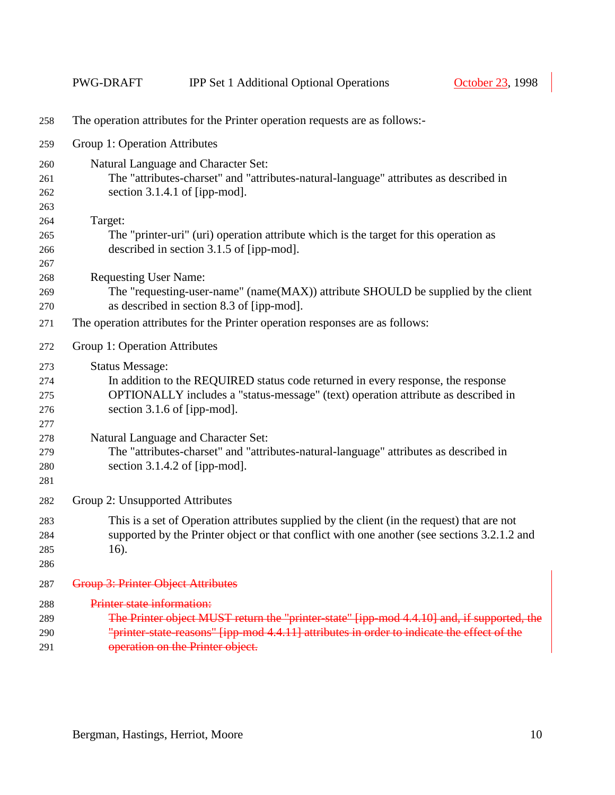|     | PWG-DRAFT                                                                                  | <b>IPP Set 1 Additional Optional Operations</b>                                             | October 23, 1998 |  |  |  |  |
|-----|--------------------------------------------------------------------------------------------|---------------------------------------------------------------------------------------------|------------------|--|--|--|--|
| 258 | The operation attributes for the Printer operation requests are as follows:-               |                                                                                             |                  |  |  |  |  |
| 259 |                                                                                            | Group 1: Operation Attributes                                                               |                  |  |  |  |  |
| 260 |                                                                                            | Natural Language and Character Set:                                                         |                  |  |  |  |  |
| 261 |                                                                                            | The "attributes-charset" and "attributes-natural-language" attributes as described in       |                  |  |  |  |  |
| 262 | section $3.1.4.1$ of [ipp-mod].                                                            |                                                                                             |                  |  |  |  |  |
| 263 |                                                                                            |                                                                                             |                  |  |  |  |  |
| 264 | Target:                                                                                    |                                                                                             |                  |  |  |  |  |
| 265 |                                                                                            | The "printer-uri" (uri) operation attribute which is the target for this operation as       |                  |  |  |  |  |
| 266 |                                                                                            | described in section 3.1.5 of [ipp-mod].                                                    |                  |  |  |  |  |
| 267 |                                                                                            |                                                                                             |                  |  |  |  |  |
| 268 | <b>Requesting User Name:</b>                                                               |                                                                                             |                  |  |  |  |  |
| 269 |                                                                                            | The "requesting-user-name" (name(MAX)) attribute SHOULD be supplied by the client           |                  |  |  |  |  |
| 270 |                                                                                            | as described in section 8.3 of [ipp-mod].                                                   |                  |  |  |  |  |
| 271 |                                                                                            | The operation attributes for the Printer operation responses are as follows:                |                  |  |  |  |  |
| 272 | Group 1: Operation Attributes                                                              |                                                                                             |                  |  |  |  |  |
| 273 | <b>Status Message:</b>                                                                     |                                                                                             |                  |  |  |  |  |
| 274 | In addition to the REQUIRED status code returned in every response, the response           |                                                                                             |                  |  |  |  |  |
| 275 | OPTIONALLY includes a "status-message" (text) operation attribute as described in          |                                                                                             |                  |  |  |  |  |
| 276 |                                                                                            | section 3.1.6 of [ipp-mod].                                                                 |                  |  |  |  |  |
| 277 |                                                                                            |                                                                                             |                  |  |  |  |  |
| 278 |                                                                                            | Natural Language and Character Set:                                                         |                  |  |  |  |  |
| 279 |                                                                                            | The "attributes-charset" and "attributes-natural-language" attributes as described in       |                  |  |  |  |  |
| 280 |                                                                                            | section $3.1.4.2$ of [ipp-mod].                                                             |                  |  |  |  |  |
| 281 |                                                                                            |                                                                                             |                  |  |  |  |  |
| 282 | Group 2: Unsupported Attributes                                                            |                                                                                             |                  |  |  |  |  |
| 283 |                                                                                            | This is a set of Operation attributes supplied by the client (in the request) that are not  |                  |  |  |  |  |
| 284 |                                                                                            | supported by the Printer object or that conflict with one another (see sections 3.2.1.2 and |                  |  |  |  |  |
| 285 | 16).                                                                                       |                                                                                             |                  |  |  |  |  |
| 286 |                                                                                            |                                                                                             |                  |  |  |  |  |
| 287 | <b>Group 3: Printer Object Attributes</b>                                                  |                                                                                             |                  |  |  |  |  |
| 288 | Printer state information:                                                                 |                                                                                             |                  |  |  |  |  |
| 289 |                                                                                            | The Printer object MUST return the "printer state" [ipp-mod 4.4.10] and, if supported, the  |                  |  |  |  |  |
| 290 | "printer-state-reasons" [ipp-mod 4.4.11] attributes in order to indicate the effect of the |                                                                                             |                  |  |  |  |  |
| 291 | operation on the Printer object.                                                           |                                                                                             |                  |  |  |  |  |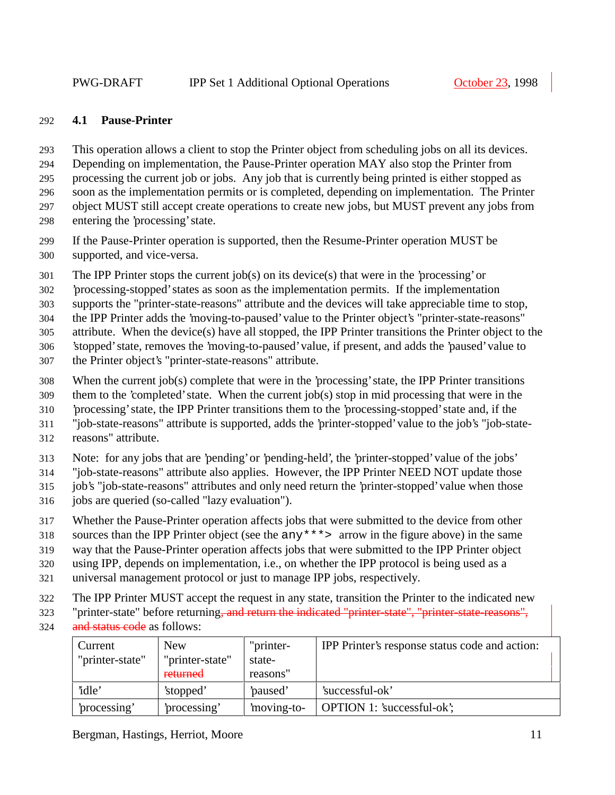#### **4.1 Pause-Printer**

This operation allows a client to stop the Printer object from scheduling jobs on all its devices.

Depending on implementation, the Pause-Printer operation MAY also stop the Printer from

processing the current job or jobs. Any job that is currently being printed is either stopped as

soon as the implementation permits or is completed, depending on implementation. The Printer

object MUST still accept create operations to create new jobs, but MUST prevent any jobs from

entering the 'processing' state.

 If the Pause-Printer operation is supported, then the Resume-Printer operation MUST be supported, and vice-versa.

The IPP Printer stops the current job(s) on its device(s) that were in the 'processing' or

'processing-stopped' states as soon as the implementation permits. If the implementation

supports the "printer-state-reasons" attribute and the devices will take appreciable time to stop,

the IPP Printer adds the 'moving-to-paused' value to the Printer object's "printer-state-reasons"

attribute. When the device(s) have all stopped, the IPP Printer transitions the Printer object to the

'stopped' state, removes the 'moving-to-paused' value, if present, and adds the 'paused' value to

- the Printer object's "printer-state-reasons" attribute.
- When the current job(s) complete that were in the 'processing' state, the IPP Printer transitions
- them to the 'completed' state. When the current job(s) stop in mid processing that were in the
- 'processing' state, the IPP Printer transitions them to the 'processing-stopped' state and, if the

"job-state-reasons" attribute is supported, adds the 'printer-stopped' value to the job's "job-state-

reasons" attribute.

Note: for any jobs that are 'pending' or 'pending-held', the 'printer-stopped' value of the jobs'

"job-state-reasons" attribute also applies. However, the IPP Printer NEED NOT update those

job's "job-state-reasons" attributes and only need return the 'printer-stopped' value when those

- jobs are queried (so-called "lazy evaluation").
- Whether the Pause-Printer operation affects jobs that were submitted to the device from other

sources than the IPP Printer object (see the any\*\*\*> arrow in the figure above) in the same

way that the Pause-Printer operation affects jobs that were submitted to the IPP Printer object

using IPP, depends on implementation, i.e., on whether the IPP protocol is being used as a

- universal management protocol or just to manage IPP jobs, respectively.
- The IPP Printer MUST accept the request in any state, transition the Printer to the indicated new
- 323 "printer-state" before returning, and return the indicated "printer-state", "printer-state-reasons",
- and status code as follows:

| Current         | <b>New</b>      | "printer-  | IPP Printer's response status code and action: |
|-----------------|-----------------|------------|------------------------------------------------|
| "printer-state" | "printer-state" | state-     |                                                |
|                 | returned        | reasons"   |                                                |
| 'idle'          | 'stopped'       | paused'    | 'successful-ok'                                |
| processing'     | processing'     | moving-to- | <b>OPTION</b> 1: 'successful-ok';              |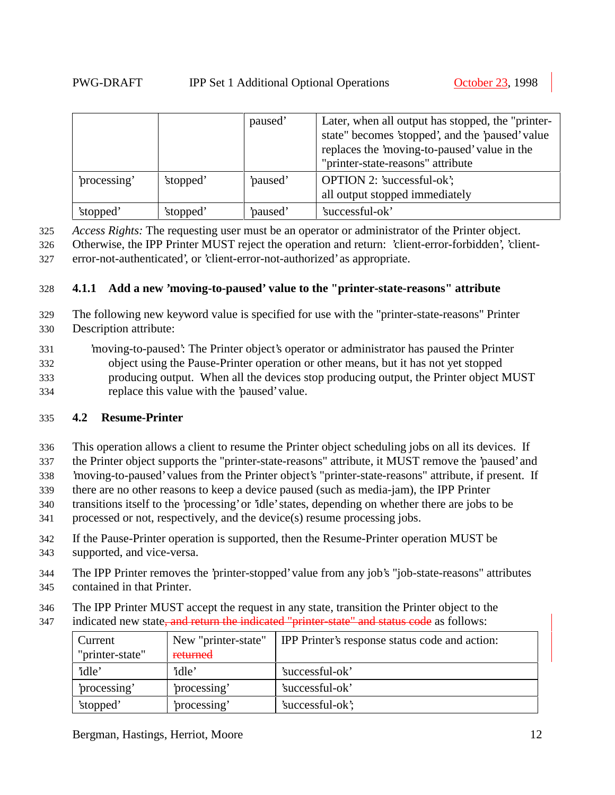|              |           | paused' | Later, when all output has stopped, the "printer-<br>state" becomes 'stopped', and the 'paused' value<br>replaces the 'moving-to-paused' value in the<br>"printer-state-reasons" attribute |
|--------------|-----------|---------|--------------------------------------------------------------------------------------------------------------------------------------------------------------------------------------------|
| 'processing' | 'stopped' | paused' | <b>OPTION 2: 'successful-ok';</b><br>all output stopped immediately                                                                                                                        |
| 'stopped'    | 'stopped' | paused' | 'successful-ok'                                                                                                                                                                            |

325 *Access Rights:* The requesting user must be an operator or administrator of the Printer object.

326 Otherwise, the IPP Printer MUST reject the operation and return: 'client-error-forbidden', 'client-327 error-not-authenticated', or 'client-error-not-authorized' as appropriate.

#### 328 **4.1.1 Add a new 'moving-to-paused' value to the "printer-state-reasons" attribute**

- 329 The following new keyword value is specified for use with the "printer-state-reasons" Printer 330 Description attribute:
- 331 'moving-to-paused': The Printer object's operator or administrator has paused the Printer 332 object using the Pause-Printer operation or other means, but it has not yet stopped 333 producing output. When all the devices stop producing output, the Printer object MUST 334 replace this value with the 'paused' value.

#### 335 **4.2 Resume-Printer**

- 336 This operation allows a client to resume the Printer object scheduling jobs on all its devices. If
- 337 the Printer object supports the "printer-state-reasons" attribute, it MUST remove the 'paused' and
- 338 'moving-to-paused' values from the Printer object's "printer-state-reasons" attribute, if present. If
- 339 there are no other reasons to keep a device paused (such as media-jam), the IPP Printer
- 340 transitions itself to the 'processing' or 'idle' states, depending on whether there are jobs to be
- 341 processed or not, respectively, and the device(s) resume processing jobs.
- 342 If the Pause-Printer operation is supported, then the Resume-Printer operation MUST be
- 343 supported, and vice-versa.
- 344 The IPP Printer removes the 'printer-stopped' value from any job's "job-state-reasons" attributes
- 345 contained in that Printer.
- 346 The IPP Printer MUST accept the request in any state, transition the Printer object to the
- 347 indicated new state, and return the indicated "printer-state" and status code as follows:

| Current         | New "printer-state" | IPP Printer's response status code and action: |
|-----------------|---------------------|------------------------------------------------|
| "printer-state" | returned            |                                                |
| 'idle'          | 'idle'              | 'successful-ok'                                |
| processing'     | processing'         | 'successful-ok'                                |
| 'stopped'       | processing'         | 'successful-ok';                               |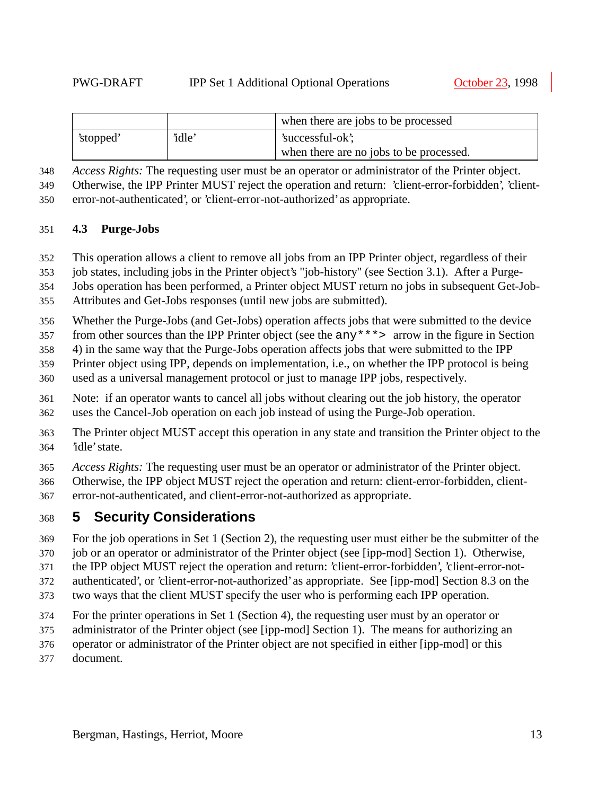|           |        | when there are jobs to be processed     |
|-----------|--------|-----------------------------------------|
| 'stopped' | 'idle' | 'successful-ok';                        |
|           |        | when there are no jobs to be processed. |

*Access Rights:* The requesting user must be an operator or administrator of the Printer object.

 Otherwise, the IPP Printer MUST reject the operation and return: 'client-error-forbidden', 'client-error-not-authenticated', or 'client-error-not-authorized' as appropriate.

#### **4.3 Purge-Jobs**

This operation allows a client to remove all jobs from an IPP Printer object, regardless of their

job states, including jobs in the Printer object's "job-history" (see Section 3.1). After a Purge-

Jobs operation has been performed, a Printer object MUST return no jobs in subsequent Get-Job-

Attributes and Get-Jobs responses (until new jobs are submitted).

Whether the Purge-Jobs (and Get-Jobs) operation affects jobs that were submitted to the device

from other sources than the IPP Printer object (see the any\*\*\*> arrow in the figure in Section

4) in the same way that the Purge-Jobs operation affects jobs that were submitted to the IPP

Printer object using IPP, depends on implementation, i.e., on whether the IPP protocol is being

used as a universal management protocol or just to manage IPP jobs, respectively.

 Note: if an operator wants to cancel all jobs without clearing out the job history, the operator uses the Cancel-Job operation on each job instead of using the Purge-Job operation.

 The Printer object MUST accept this operation in any state and transition the Printer object to the 'idle' state.

*Access Rights:* The requesting user must be an operator or administrator of the Printer object.

 Otherwise, the IPP object MUST reject the operation and return: client-error-forbidden, client-error-not-authenticated, and client-error-not-authorized as appropriate.

### **5 Security Considerations**

For the job operations in Set 1 (Section 2), the requesting user must either be the submitter of the

job or an operator or administrator of the Printer object (see [ipp-mod] Section 1). Otherwise,

the IPP object MUST reject the operation and return: 'client-error-forbidden', 'client-error-not-

authenticated', or 'client-error-not-authorized' as appropriate. See [ipp-mod] Section 8.3 on the

two ways that the client MUST specify the user who is performing each IPP operation.

For the printer operations in Set 1 (Section 4), the requesting user must by an operator or

administrator of the Printer object (see [ipp-mod] Section 1). The means for authorizing an

operator or administrator of the Printer object are not specified in either [ipp-mod] or this

document.